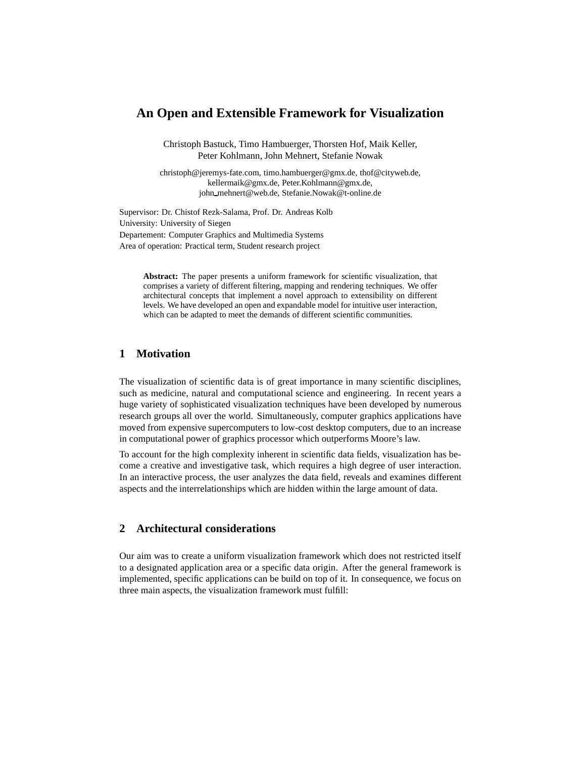# **An Open and Extensible Framework for Visualization**

Christoph Bastuck, Timo Hambuerger, Thorsten Hof, Maik Keller, Peter Kohlmann, John Mehnert, Stefanie Nowak

christoph@jeremys-fate.com, timo.hambuerger@gmx.de, thof@cityweb.de, kellermaik@gmx.de, Peter.Kohlmann@gmx.de, john mehnert@web.de, Stefanie.Nowak@t-online.de

Supervisor: Dr. Chistof Rezk-Salama, Prof. Dr. Andreas Kolb University: University of Siegen Departement: Computer Graphics and Multimedia Systems Area of operation: Practical term, Student research project

> **Abstract:** The paper presents a uniform framework for scientific visualization, that comprises a variety of different filtering, mapping and rendering techniques. We offer architectural concepts that implement a novel approach to extensibility on different levels. We have developed an open and expandable model for intuitive user interaction, which can be adapted to meet the demands of different scientific communities.

## **1 Motivation**

The visualization of scientific data is of great importance in many scientific disciplines, such as medicine, natural and computational science and engineering. In recent years a huge variety of sophisticated visualization techniques have been developed by numerous research groups all over the world. Simultaneously, computer graphics applications have moved from expensive supercomputers to low-cost desktop computers, due to an increase in computational power of graphics processor which outperforms Moore's law.

To account for the high complexity inherent in scientific data fields, visualization has become a creative and investigative task, which requires a high degree of user interaction. In an interactive process, the user analyzes the data field, reveals and examines different aspects and the interrelationships which are hidden within the large amount of data.

## **2 Architectural considerations**

Our aim was to create a uniform visualization framework which does not restricted itself to a designated application area or a specific data origin. After the general framework is implemented, specific applications can be build on top of it. In consequence, we focus on three main aspects, the visualization framework must fulfill: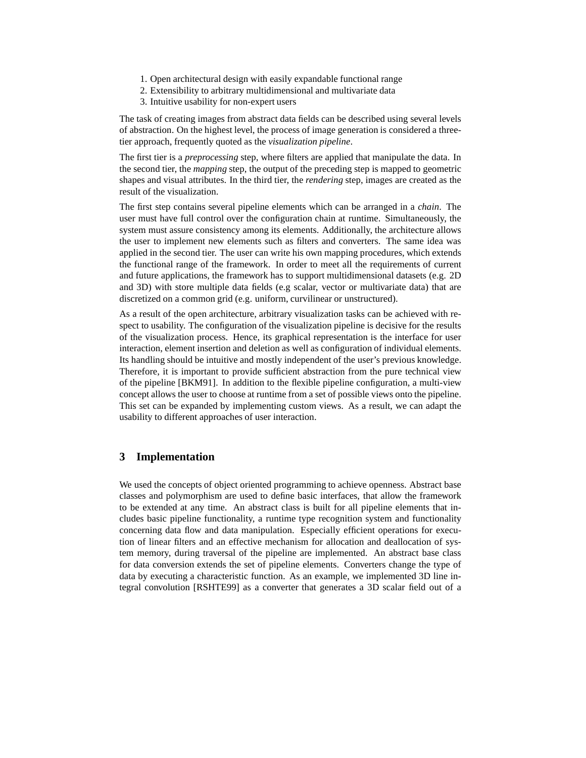- 1. Open architectural design with easily expandable functional range
- 2. Extensibility to arbitrary multidimensional and multivariate data
- 3. Intuitive usability for non-expert users

The task of creating images from abstract data fields can be described using several levels of abstraction. On the highest level, the process of image generation is considered a threetier approach, frequently quoted as the *visualization pipeline*.

The first tier is a *preprocessing* step, where filters are applied that manipulate the data. In the second tier, the *mapping* step, the output of the preceding step is mapped to geometric shapes and visual attributes. In the third tier, the *rendering* step, images are created as the result of the visualization.

The first step contains several pipeline elements which can be arranged in a *chain*. The user must have full control over the configuration chain at runtime. Simultaneously, the system must assure consistency among its elements. Additionally, the architecture allows the user to implement new elements such as filters and converters. The same idea was applied in the second tier. The user can write his own mapping procedures, which extends the functional range of the framework. In order to meet all the requirements of current and future applications, the framework has to support multidimensional datasets (e.g. 2D and 3D) with store multiple data fields (e.g scalar, vector or multivariate data) that are discretized on a common grid (e.g. uniform, curvilinear or unstructured).

As a result of the open architecture, arbitrary visualization tasks can be achieved with respect to usability. The configuration of the visualization pipeline is decisive for the results of the visualization process. Hence, its graphical representation is the interface for user interaction, element insertion and deletion as well as configuration of individual elements. Its handling should be intuitive and mostly independent of the user's previous knowledge. Therefore, it is important to provide sufficient abstraction from the pure technical view of the pipeline [BKM91]. In addition to the flexible pipeline configuration, a multi-view concept allows the user to choose at runtime from a set of possible views onto the pipeline. This set can be expanded by implementing custom views. As a result, we can adapt the usability to different approaches of user interaction.

### **3 Implementation**

We used the concepts of object oriented programming to achieve openness. Abstract base classes and polymorphism are used to define basic interfaces, that allow the framework to be extended at any time. An abstract class is built for all pipeline elements that includes basic pipeline functionality, a runtime type recognition system and functionality concerning data flow and data manipulation. Especially efficient operations for execution of linear filters and an effective mechanism for allocation and deallocation of system memory, during traversal of the pipeline are implemented. An abstract base class for data conversion extends the set of pipeline elements. Converters change the type of data by executing a characteristic function. As an example, we implemented 3D line integral convolution [RSHTE99] as a converter that generates a 3D scalar field out of a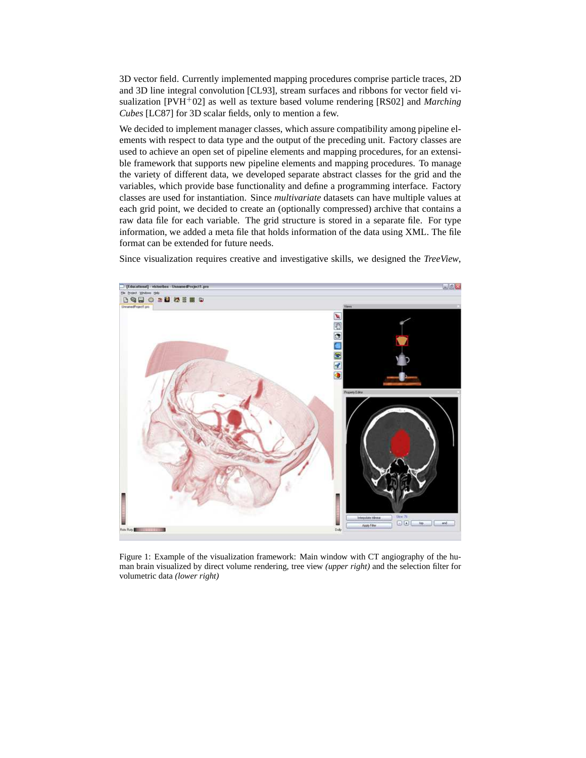3D vector field. Currently implemented mapping procedures comprise particle traces, 2D and 3D line integral convolution [CL93], stream surfaces and ribbons for vector field visualization [PVH+02] as well as texture based volume rendering [RS02] and *Marching Cubes* [LC87] for 3D scalar fields, only to mention a few.

We decided to implement manager classes, which assure compatibility among pipeline elements with respect to data type and the output of the preceding unit. Factory classes are used to achieve an open set of pipeline elements and mapping procedures, for an extensible framework that supports new pipeline elements and mapping procedures. To manage the variety of different data, we developed separate abstract classes for the grid and the variables, which provide base functionality and define a programming interface. Factory classes are used for instantiation. Since *multivariate* datasets can have multiple values at each grid point, we decided to create an (optionally compressed) archive that contains a raw data file for each variable. The grid structure is stored in a separate file. For type information, we added a meta file that holds information of the data using XML. The file format can be extended for future needs.

Since visualization requires creative and investigative skills, we designed the *TreeView*,



Figure 1: Example of the visualization framework: Main window with CT angiography of the human brain visualized by direct volume rendering, tree view *(upper right)* and the selection filter for volumetric data *(lower right)*